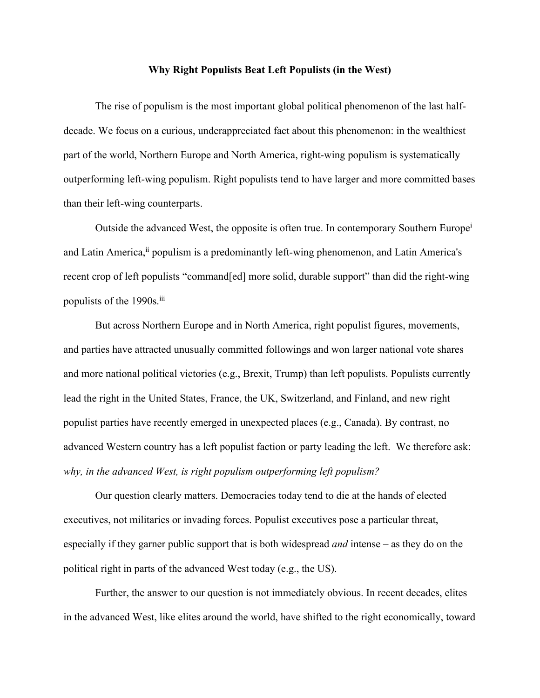## **Why Right Populists Beat Left Populists (in the West)**

The rise of populism is the most important global political phenomenon of the last halfdecade. We focus on a curious, underappreciated fact about this phenomenon: in the wealthiest part of the world, Northern Europe and North America, right-wing populism is systematically outperforming left-wing populism. Right populists tend to have larger and more committed bases than their left-wing counterparts.

Outside the advanced West, the opposite is often true. In contemporary Southern Europe<sup>i</sup> and Latin America,<sup>ii</sup> populism is a predominantly left-wing phenomenon, and Latin America's recent crop of left populists "command[ed] more solid, durable support" than did the right-wing populists of the 1990s.<sup>iii</sup>

But across Northern Europe and in North America, right populist figures, movements, and parties have attracted unusually committed followings and won larger national vote shares and more national political victories (e.g., Brexit, Trump) than left populists. Populists currently lead the right in the United States, France, the UK, Switzerland, and Finland, and new right populist parties have recently emerged in unexpected places (e.g., Canada). By contrast, no advanced Western country has a left populist faction or party leading the left. We therefore ask: *why, in the advanced West, is right populism outperforming left populism?*

Our question clearly matters. Democracies today tend to die at the hands of elected executives, not militaries or invading forces. Populist executives pose a particular threat, especially if they garner public support that is both widespread *and* intense – as they do on the political right in parts of the advanced West today (e.g., the US).

Further, the answer to our question is not immediately obvious. In recent decades, elites in the advanced West, like elites around the world, have shifted to the right economically, toward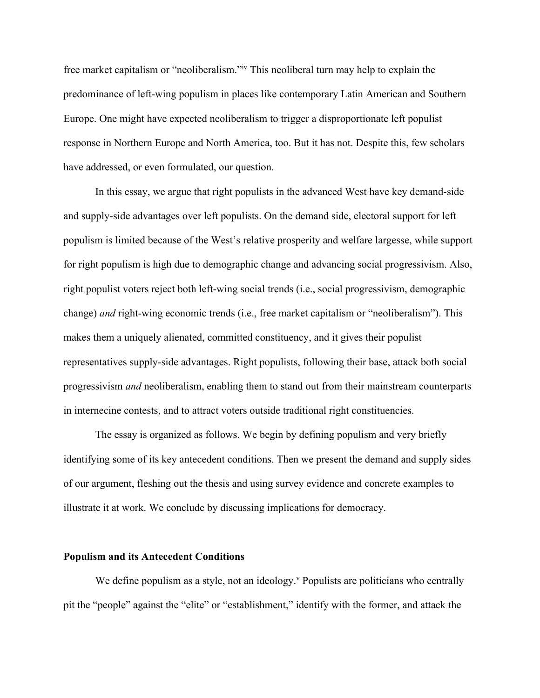free market capitalism or "neoliberalism."iv This neoliberal turn may help to explain the predominance of left-wing populism in places like contemporary Latin American and Southern Europe. One might have expected neoliberalism to trigger a disproportionate left populist response in Northern Europe and North America, too. But it has not. Despite this, few scholars have addressed, or even formulated, our question.

In this essay, we argue that right populists in the advanced West have key demand-side and supply-side advantages over left populists. On the demand side, electoral support for left populism is limited because of the West's relative prosperity and welfare largesse, while support for right populism is high due to demographic change and advancing social progressivism. Also, right populist voters reject both left-wing social trends (i.e., social progressivism, demographic change) *and* right-wing economic trends (i.e., free market capitalism or "neoliberalism"). This makes them a uniquely alienated, committed constituency, and it gives their populist representatives supply-side advantages. Right populists, following their base, attack both social progressivism *and* neoliberalism, enabling them to stand out from their mainstream counterparts in internecine contests, and to attract voters outside traditional right constituencies.

The essay is organized as follows. We begin by defining populism and very briefly identifying some of its key antecedent conditions. Then we present the demand and supply sides of our argument, fleshing out the thesis and using survey evidence and concrete examples to illustrate it at work. We conclude by discussing implications for democracy.

#### **Populism and its Antecedent Conditions**

We define populism as a style, not an ideology. $v$  Populists are politicians who centrally pit the "people" against the "elite" or "establishment," identify with the former, and attack the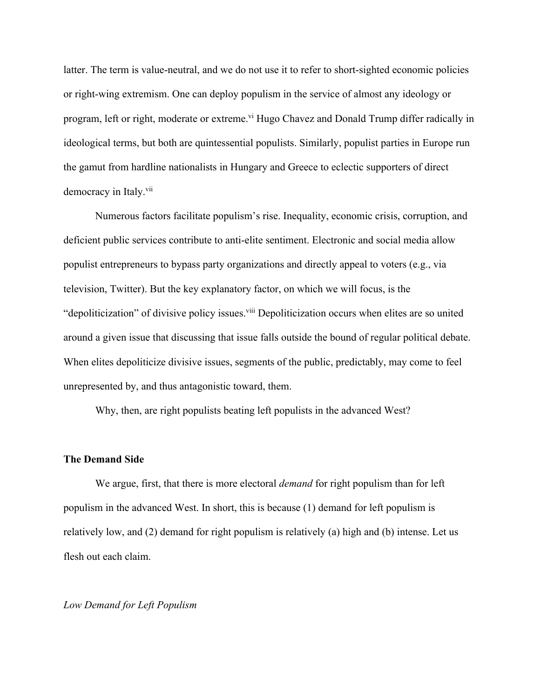latter. The term is value-neutral, and we do not use it to refer to short-sighted economic policies or right-wing extremism. One can deploy populism in the service of almost any ideology or program, left or right, moderate or extreme.<sup>vi</sup> Hugo Chavez and Donald Trump differ radically in ideological terms, but both are quintessential populists. Similarly, populist parties in Europe run the gamut from hardline nationalists in Hungary and Greece to eclectic supporters of direct democracy in Italy.<sup>vii</sup>

Numerous factors facilitate populism's rise. Inequality, economic crisis, corruption, and deficient public services contribute to anti-elite sentiment. Electronic and social media allow populist entrepreneurs to bypass party organizations and directly appeal to voters (e.g., via television, Twitter). But the key explanatory factor, on which we will focus, is the "depoliticization" of divisive policy issues.<sup>viii</sup> Depoliticization occurs when elites are so united around a given issue that discussing that issue falls outside the bound of regular political debate. When elites depoliticize divisive issues, segments of the public, predictably, may come to feel unrepresented by, and thus antagonistic toward, them.

Why, then, are right populists beating left populists in the advanced West?

## **The Demand Side**

We argue, first, that there is more electoral *demand* for right populism than for left populism in the advanced West. In short, this is because (1) demand for left populism is relatively low, and (2) demand for right populism is relatively (a) high and (b) intense. Let us flesh out each claim.

# *Low Demand for Left Populism*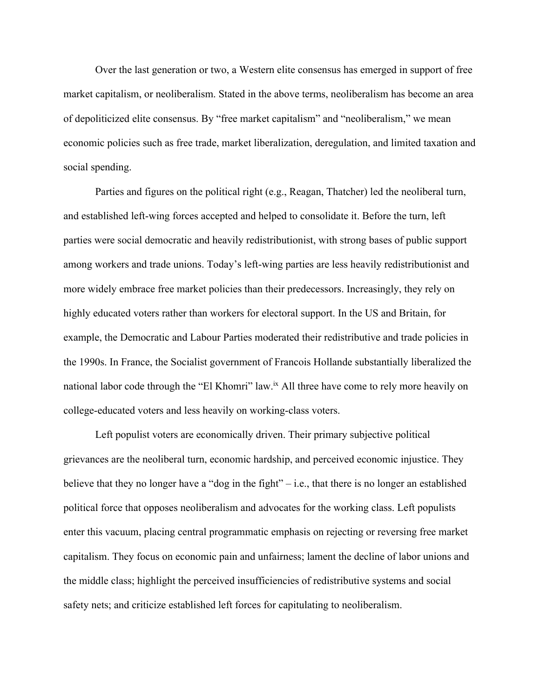Over the last generation or two, a Western elite consensus has emerged in support of free market capitalism, or neoliberalism. Stated in the above terms, neoliberalism has become an area of depoliticized elite consensus. By "free market capitalism" and "neoliberalism," we mean economic policies such as free trade, market liberalization, deregulation, and limited taxation and social spending.

Parties and figures on the political right (e.g., Reagan, Thatcher) led the neoliberal turn, and established left-wing forces accepted and helped to consolidate it. Before the turn, left parties were social democratic and heavily redistributionist, with strong bases of public support among workers and trade unions. Today's left-wing parties are less heavily redistributionist and more widely embrace free market policies than their predecessors. Increasingly, they rely on highly educated voters rather than workers for electoral support. In the US and Britain, for example, the Democratic and Labour Parties moderated their redistributive and trade policies in the 1990s. In France, the Socialist government of Francois Hollande substantially liberalized the national labor code through the "El Khomri" law.<sup>ix</sup> All three have come to rely more heavily on college-educated voters and less heavily on working-class voters.

Left populist voters are economically driven. Their primary subjective political grievances are the neoliberal turn, economic hardship, and perceived economic injustice. They believe that they no longer have a "dog in the fight" – i.e., that there is no longer an established political force that opposes neoliberalism and advocates for the working class. Left populists enter this vacuum, placing central programmatic emphasis on rejecting or reversing free market capitalism. They focus on economic pain and unfairness; lament the decline of labor unions and the middle class; highlight the perceived insufficiencies of redistributive systems and social safety nets; and criticize established left forces for capitulating to neoliberalism.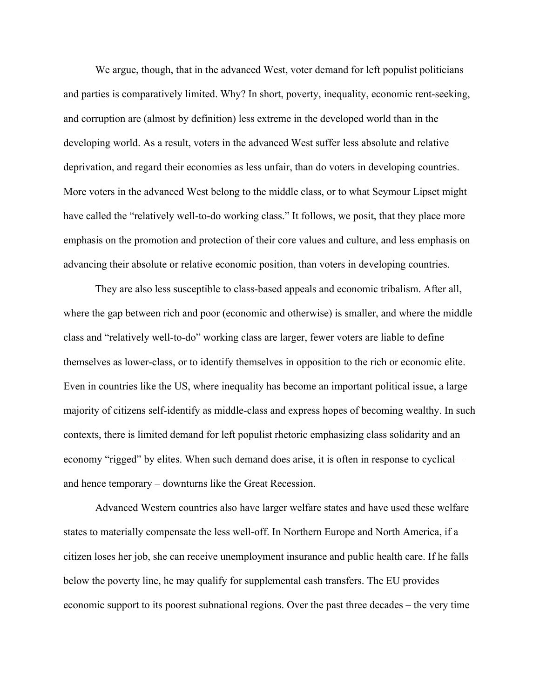We argue, though, that in the advanced West, voter demand for left populist politicians and parties is comparatively limited. Why? In short, poverty, inequality, economic rent-seeking, and corruption are (almost by definition) less extreme in the developed world than in the developing world. As a result, voters in the advanced West suffer less absolute and relative deprivation, and regard their economies as less unfair, than do voters in developing countries. More voters in the advanced West belong to the middle class, or to what Seymour Lipset might have called the "relatively well-to-do working class." It follows, we posit, that they place more emphasis on the promotion and protection of their core values and culture, and less emphasis on advancing their absolute or relative economic position, than voters in developing countries.

They are also less susceptible to class-based appeals and economic tribalism. After all, where the gap between rich and poor (economic and otherwise) is smaller, and where the middle class and "relatively well-to-do" working class are larger, fewer voters are liable to define themselves as lower-class, or to identify themselves in opposition to the rich or economic elite. Even in countries like the US, where inequality has become an important political issue, a large majority of citizens self-identify as middle-class and express hopes of becoming wealthy. In such contexts, there is limited demand for left populist rhetoric emphasizing class solidarity and an economy "rigged" by elites. When such demand does arise, it is often in response to cyclical – and hence temporary – downturns like the Great Recession.

Advanced Western countries also have larger welfare states and have used these welfare states to materially compensate the less well-off. In Northern Europe and North America, if a citizen loses her job, she can receive unemployment insurance and public health care. If he falls below the poverty line, he may qualify for supplemental cash transfers. The EU provides economic support to its poorest subnational regions. Over the past three decades – the very time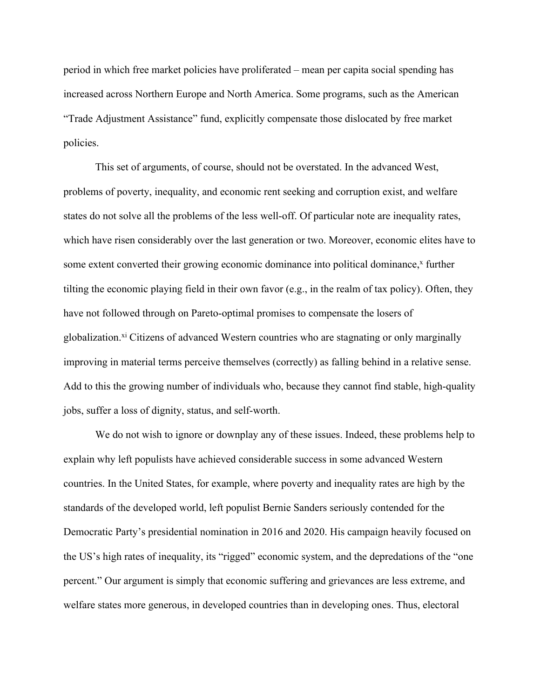period in which free market policies have proliferated – mean per capita social spending has increased across Northern Europe and North America. Some programs, such as the American "Trade Adjustment Assistance" fund, explicitly compensate those dislocated by free market policies.

This set of arguments, of course, should not be overstated. In the advanced West, problems of poverty, inequality, and economic rent seeking and corruption exist, and welfare states do not solve all the problems of the less well-off. Of particular note are inequality rates, which have risen considerably over the last generation or two. Moreover, economic elites have to some extent converted their growing economic dominance into political dominance, $x$  further tilting the economic playing field in their own favor (e.g., in the realm of tax policy). Often, they have not followed through on Pareto-optimal promises to compensate the losers of globalization.<sup>xi</sup> Citizens of advanced Western countries who are stagnating or only marginally improving in material terms perceive themselves (correctly) as falling behind in a relative sense. Add to this the growing number of individuals who, because they cannot find stable, high-quality jobs, suffer a loss of dignity, status, and self-worth.

We do not wish to ignore or downplay any of these issues. Indeed, these problems help to explain why left populists have achieved considerable success in some advanced Western countries. In the United States, for example, where poverty and inequality rates are high by the standards of the developed world, left populist Bernie Sanders seriously contended for the Democratic Party's presidential nomination in 2016 and 2020. His campaign heavily focused on the US's high rates of inequality, its "rigged" economic system, and the depredations of the "one percent." Our argument is simply that economic suffering and grievances are less extreme, and welfare states more generous, in developed countries than in developing ones. Thus, electoral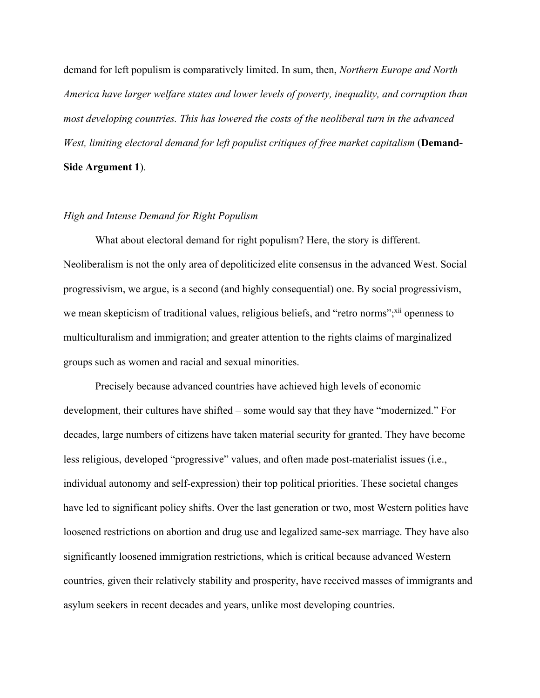demand for left populism is comparatively limited. In sum, then, *Northern Europe and North America have larger welfare states and lower levels of poverty, inequality, and corruption than most developing countries. This has lowered the costs of the neoliberal turn in the advanced West, limiting electoral demand for left populist critiques of free market capitalism* (**Demand-Side Argument 1**).

# *High and Intense Demand for Right Populism*

What about electoral demand for right populism? Here, the story is different. Neoliberalism is not the only area of depoliticized elite consensus in the advanced West. Social progressivism, we argue, is a second (and highly consequential) one. By social progressivism, we mean skepticism of traditional values, religious beliefs, and "retro norms"; xii openness to multiculturalism and immigration; and greater attention to the rights claims of marginalized groups such as women and racial and sexual minorities.

Precisely because advanced countries have achieved high levels of economic development, their cultures have shifted – some would say that they have "modernized." For decades, large numbers of citizens have taken material security for granted. They have become less religious, developed "progressive" values, and often made post-materialist issues (i.e., individual autonomy and self-expression) their top political priorities. These societal changes have led to significant policy shifts. Over the last generation or two, most Western polities have loosened restrictions on abortion and drug use and legalized same-sex marriage. They have also significantly loosened immigration restrictions, which is critical because advanced Western countries, given their relatively stability and prosperity, have received masses of immigrants and asylum seekers in recent decades and years, unlike most developing countries.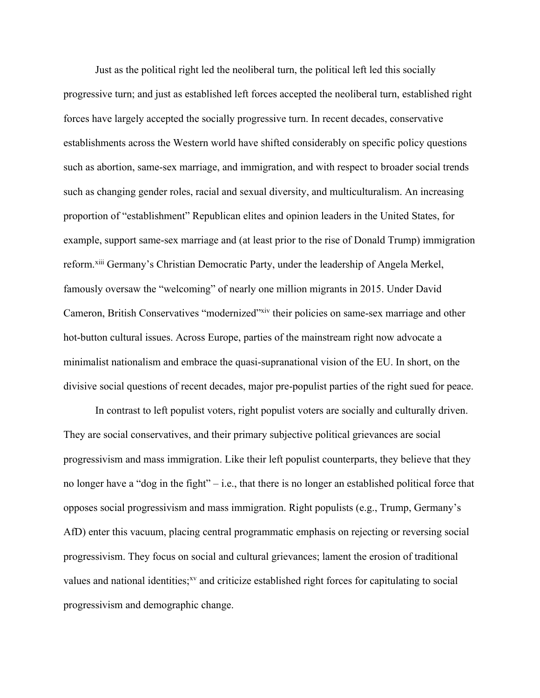Just as the political right led the neoliberal turn, the political left led this socially progressive turn; and just as established left forces accepted the neoliberal turn, established right forces have largely accepted the socially progressive turn. In recent decades, conservative establishments across the Western world have shifted considerably on specific policy questions such as abortion, same-sex marriage, and immigration, and with respect to broader social trends such as changing gender roles, racial and sexual diversity, and multiculturalism. An increasing proportion of "establishment" Republican elites and opinion leaders in the United States, for example, support same-sex marriage and (at least prior to the rise of Donald Trump) immigration reform.xiii Germany's Christian Democratic Party, under the leadership of Angela Merkel, famously oversaw the "welcoming" of nearly one million migrants in 2015. Under David Cameron, British Conservatives "modernized"xiv their policies on same-sex marriage and other hot-button cultural issues. Across Europe, parties of the mainstream right now advocate a minimalist nationalism and embrace the quasi-supranational vision of the EU. In short, on the divisive social questions of recent decades, major pre-populist parties of the right sued for peace.

In contrast to left populist voters, right populist voters are socially and culturally driven. They are social conservatives, and their primary subjective political grievances are social progressivism and mass immigration. Like their left populist counterparts, they believe that they no longer have a "dog in the fight" – i.e., that there is no longer an established political force that opposes social progressivism and mass immigration. Right populists (e.g., Trump, Germany's AfD) enter this vacuum, placing central programmatic emphasis on rejecting or reversing social progressivism. They focus on social and cultural grievances; lament the erosion of traditional values and national identities;<sup>xv</sup> and criticize established right forces for capitulating to social progressivism and demographic change.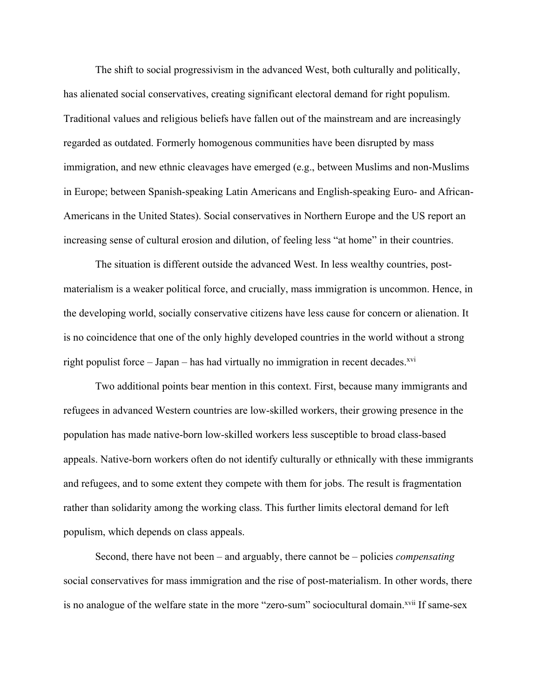The shift to social progressivism in the advanced West, both culturally and politically, has alienated social conservatives, creating significant electoral demand for right populism. Traditional values and religious beliefs have fallen out of the mainstream and are increasingly regarded as outdated. Formerly homogenous communities have been disrupted by mass immigration, and new ethnic cleavages have emerged (e.g., between Muslims and non-Muslims in Europe; between Spanish-speaking Latin Americans and English-speaking Euro- and African-Americans in the United States). Social conservatives in Northern Europe and the US report an increasing sense of cultural erosion and dilution, of feeling less "at home" in their countries.

The situation is different outside the advanced West. In less wealthy countries, postmaterialism is a weaker political force, and crucially, mass immigration is uncommon. Hence, in the developing world, socially conservative citizens have less cause for concern or alienation. It is no coincidence that one of the only highly developed countries in the world without a strong right populist force – Japan – has had virtually no immigration in recent decades. $x^{vi}$ 

Two additional points bear mention in this context. First, because many immigrants and refugees in advanced Western countries are low-skilled workers, their growing presence in the population has made native-born low-skilled workers less susceptible to broad class-based appeals. Native-born workers often do not identify culturally or ethnically with these immigrants and refugees, and to some extent they compete with them for jobs. The result is fragmentation rather than solidarity among the working class. This further limits electoral demand for left populism, which depends on class appeals.

Second, there have not been – and arguably, there cannot be – policies *compensating* social conservatives for mass immigration and the rise of post-materialism. In other words, there is no analogue of the welfare state in the more "zero-sum" sociocultural domain.<sup>xvii</sup> If same-sex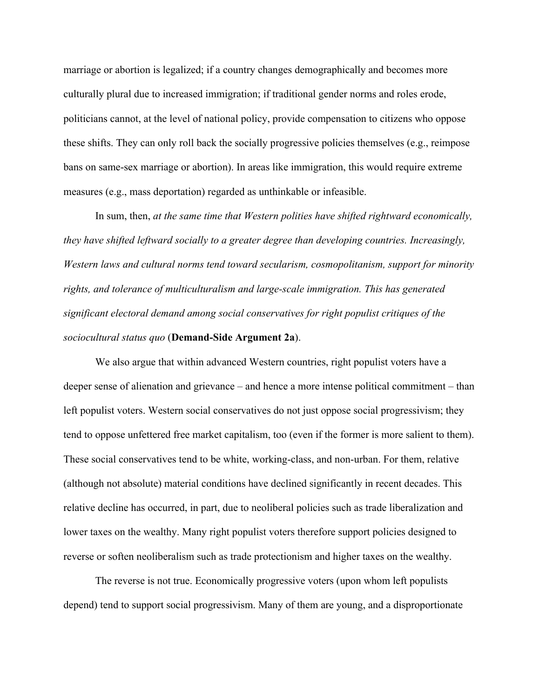marriage or abortion is legalized; if a country changes demographically and becomes more culturally plural due to increased immigration; if traditional gender norms and roles erode, politicians cannot, at the level of national policy, provide compensation to citizens who oppose these shifts. They can only roll back the socially progressive policies themselves (e.g., reimpose bans on same-sex marriage or abortion). In areas like immigration, this would require extreme measures (e.g., mass deportation) regarded as unthinkable or infeasible.

In sum, then, *at the same time that Western polities have shifted rightward economically, they have shifted leftward socially to a greater degree than developing countries. Increasingly, Western laws and cultural norms tend toward secularism, cosmopolitanism, support for minority rights, and tolerance of multiculturalism and large-scale immigration. This has generated significant electoral demand among social conservatives for right populist critiques of the sociocultural status quo* (**Demand-Side Argument 2a**).

We also argue that within advanced Western countries, right populist voters have a deeper sense of alienation and grievance – and hence a more intense political commitment – than left populist voters. Western social conservatives do not just oppose social progressivism; they tend to oppose unfettered free market capitalism, too (even if the former is more salient to them). These social conservatives tend to be white, working-class, and non-urban. For them, relative (although not absolute) material conditions have declined significantly in recent decades. This relative decline has occurred, in part, due to neoliberal policies such as trade liberalization and lower taxes on the wealthy. Many right populist voters therefore support policies designed to reverse or soften neoliberalism such as trade protectionism and higher taxes on the wealthy.

The reverse is not true. Economically progressive voters (upon whom left populists depend) tend to support social progressivism. Many of them are young, and a disproportionate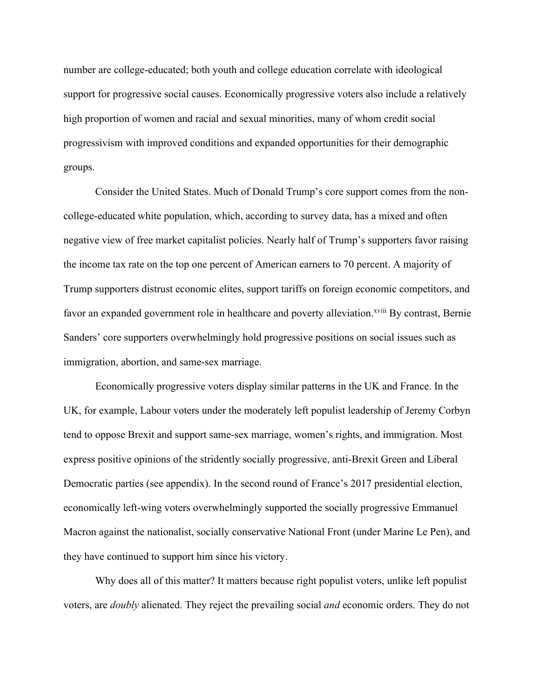number are college-educated; both youth and college education correlate with ideological support for progressive social causes. Economically progressive voters also include a relatively high proportion of women and racial and sexual minorities, many of whom credit social progressivism with improved conditions and expanded opportunities for their demographic groups.

Consider the United States. Much of Donald Trump's core support comes from the noncollege-educated white population, which, according to survey data, has a mixed and often negative view of free market capitalist policies. Nearly half of Trump's supporters favor raising the income tax rate on the top one percent of American earners to 70 percent. A majority of Trump supporters distrust economic elites, support tariffs on foreign economic competitors, and favor an expanded government role in healthcare and poverty alleviation.<sup>xviii</sup> By contrast, Bernie Sanders' core supporters overwhelmingly hold progressive positions on social issues such as immigration, abortion, and same-sex marriage.

Economically progressive voters display similar patterns in the UK and France. In the UK, for example, Labour voters under the moderately left populist leadership of Jeremy Corbyn tend to oppose Brexit and support same-sex marriage, women's rights, and immigration. Most express positive opinions of the stridently socially progressive, anti-Brexit Green and Liberal Democratic parties (see appendix). In the second round of France's 2017 presidential election, economically left-wing voters overwhelmingly supported the socially progressive Emmanuel Macron against the nationalist, socially conservative National Front (under Marine Le Pen), and they have continued to support him since his victory.

Why does all of this matter? It matters because right populist voters, unlike left populist voters, are *doubly* alienated. They reject the prevailing social *and* economic orders. They do not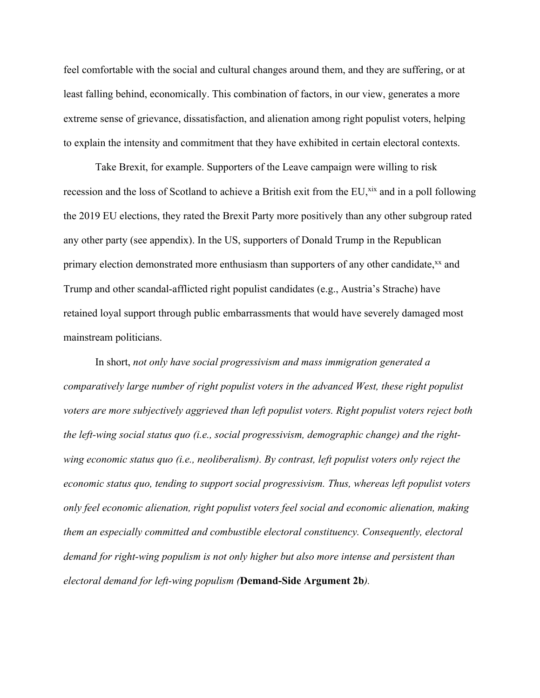feel comfortable with the social and cultural changes around them, and they are suffering, or at least falling behind, economically. This combination of factors, in our view, generates a more extreme sense of grievance, dissatisfaction, and alienation among right populist voters, helping to explain the intensity and commitment that they have exhibited in certain electoral contexts.

Take Brexit, for example. Supporters of the Leave campaign were willing to risk recession and the loss of Scotland to achieve a British exit from the EU,<sup>xix</sup> and in a poll following the 2019 EU elections, they rated the Brexit Party more positively than any other subgroup rated any other party (see appendix). In the US, supporters of Donald Trump in the Republican primary election demonstrated more enthusiasm than supporters of any other candidate,<sup>xx</sup> and Trump and other scandal-afflicted right populist candidates (e.g., Austria's Strache) have retained loyal support through public embarrassments that would have severely damaged most mainstream politicians.

In short, *not only have social progressivism and mass immigration generated a comparatively large number of right populist voters in the advanced West, these right populist voters are more subjectively aggrieved than left populist voters. Right populist voters reject both the left-wing social status quo (i.e., social progressivism, demographic change) and the rightwing economic status quo (i.e., neoliberalism). By contrast, left populist voters only reject the economic status quo, tending to support social progressivism. Thus, whereas left populist voters only feel economic alienation, right populist voters feel social and economic alienation, making them an especially committed and combustible electoral constituency. Consequently, electoral demand for right-wing populism is not only higher but also more intense and persistent than electoral demand for left-wing populism (***Demand-Side Argument 2b***).*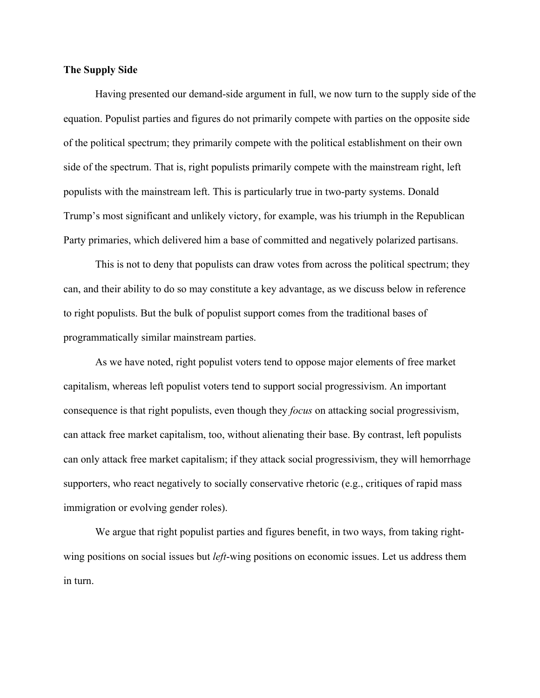# **The Supply Side**

Having presented our demand-side argument in full, we now turn to the supply side of the equation. Populist parties and figures do not primarily compete with parties on the opposite side of the political spectrum; they primarily compete with the political establishment on their own side of the spectrum. That is, right populists primarily compete with the mainstream right, left populists with the mainstream left. This is particularly true in two-party systems. Donald Trump's most significant and unlikely victory, for example, was his triumph in the Republican Party primaries, which delivered him a base of committed and negatively polarized partisans.

This is not to deny that populists can draw votes from across the political spectrum; they can, and their ability to do so may constitute a key advantage, as we discuss below in reference to right populists. But the bulk of populist support comes from the traditional bases of programmatically similar mainstream parties.

As we have noted, right populist voters tend to oppose major elements of free market capitalism, whereas left populist voters tend to support social progressivism. An important consequence is that right populists, even though they *focus* on attacking social progressivism, can attack free market capitalism, too, without alienating their base. By contrast, left populists can only attack free market capitalism; if they attack social progressivism, they will hemorrhage supporters, who react negatively to socially conservative rhetoric (e.g., critiques of rapid mass immigration or evolving gender roles).

We argue that right populist parties and figures benefit, in two ways, from taking rightwing positions on social issues but *left*-wing positions on economic issues. Let us address them in turn.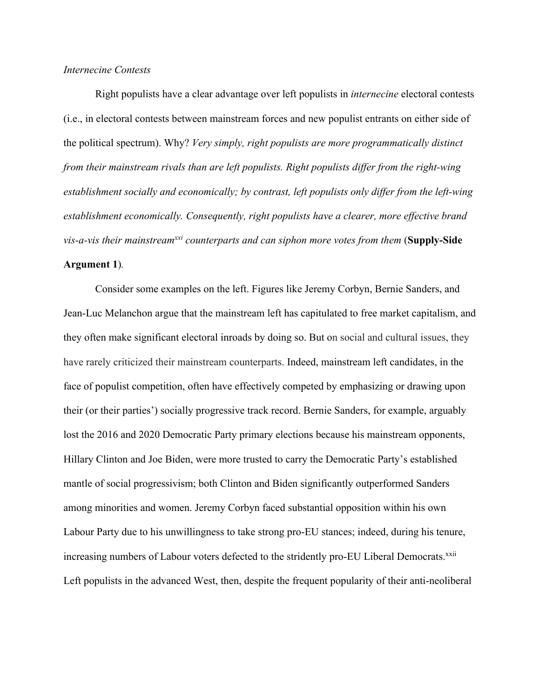# *Internecine Contests*

Right populists have a clear advantage over left populists in *internecine* electoral contests (i.e., in electoral contests between mainstream forces and new populist entrants on either side of the political spectrum). Why? *Very simply, right populists are more programmatically distinct from their mainstream rivals than are left populists. Right populists differ from the right-wing establishment socially and economically; by contrast, left populists only differ from the left-wing establishment economically. Consequently, right populists have a clearer, more effective brand vis-a-vis their mainstreamxxi counterparts and can siphon more votes from them* (**Supply-Side Argument 1**)*.*

Consider some examples on the left. Figures like Jeremy Corbyn, Bernie Sanders, and Jean-Luc Melanchon argue that the mainstream left has capitulated to free market capitalism, and they often make significant electoral inroads by doing so. But on social and cultural issues, they have rarely criticized their mainstream counterparts. Indeed, mainstream left candidates, in the face of populist competition, often have effectively competed by emphasizing or drawing upon their (or their parties') socially progressive track record. Bernie Sanders, for example, arguably lost the 2016 and 2020 Democratic Party primary elections because his mainstream opponents, Hillary Clinton and Joe Biden, were more trusted to carry the Democratic Party's established mantle of social progressivism; both Clinton and Biden significantly outperformed Sanders among minorities and women. Jeremy Corbyn faced substantial opposition within his own Labour Party due to his unwillingness to take strong pro-EU stances; indeed, during his tenure, increasing numbers of Labour voters defected to the stridently pro-EU Liberal Democrats.<sup>xxii</sup> Left populists in the advanced West, then, despite the frequent popularity of their anti-neoliberal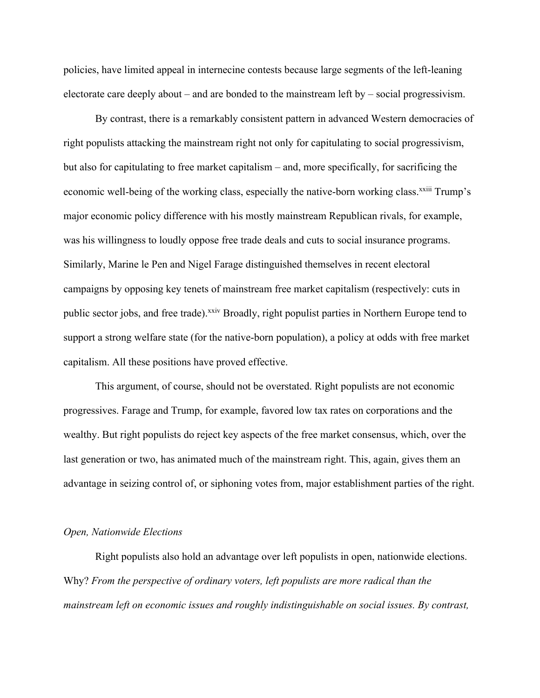policies, have limited appeal in internecine contests because large segments of the left-leaning electorate care deeply about – and are bonded to the mainstream left by – social progressivism.

By contrast, there is a remarkably consistent pattern in advanced Western democracies of right populists attacking the mainstream right not only for capitulating to social progressivism, but also for capitulating to free market capitalism – and, more specifically, for sacrificing the economic well-being of the working class, especially the native-born working class.<sup>xxiii</sup> Trump's major economic policy difference with his mostly mainstream Republican rivals, for example, was his willingness to loudly oppose free trade deals and cuts to social insurance programs. Similarly, Marine le Pen and Nigel Farage distinguished themselves in recent electoral campaigns by opposing key tenets of mainstream free market capitalism (respectively: cuts in public sector jobs, and free trade).<sup>xxiv</sup> Broadly, right populist parties in Northern Europe tend to support a strong welfare state (for the native-born population), a policy at odds with free market capitalism. All these positions have proved effective.

This argument, of course, should not be overstated. Right populists are not economic progressives. Farage and Trump, for example, favored low tax rates on corporations and the wealthy. But right populists do reject key aspects of the free market consensus, which, over the last generation or two, has animated much of the mainstream right. This, again, gives them an advantage in seizing control of, or siphoning votes from, major establishment parties of the right.

#### *Open, Nationwide Elections*

Right populists also hold an advantage over left populists in open, nationwide elections. Why? *From the perspective of ordinary voters, left populists are more radical than the mainstream left on economic issues and roughly indistinguishable on social issues. By contrast,*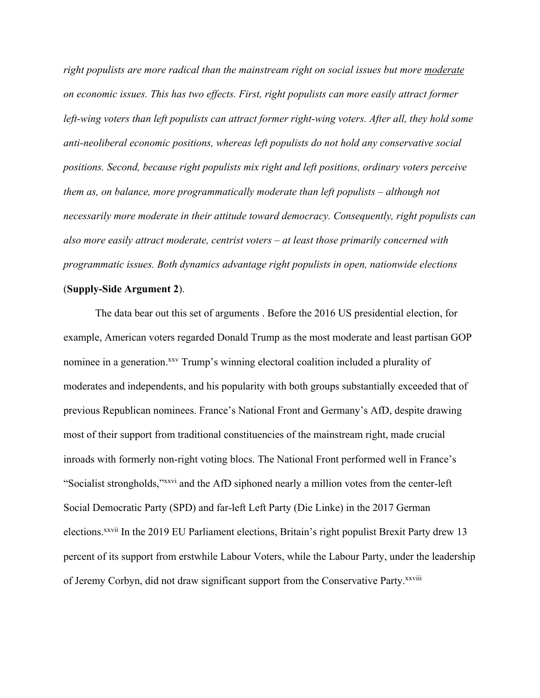*right populists are more radical than the mainstream right on social issues but more moderate on economic issues. This has two effects. First, right populists can more easily attract former left-wing voters than left populists can attract former right-wing voters. After all, they hold some anti-neoliberal economic positions, whereas left populists do not hold any conservative social positions. Second, because right populists mix right and left positions, ordinary voters perceive them as, on balance, more programmatically moderate than left populists – although not necessarily more moderate in their attitude toward democracy. Consequently, right populists can also more easily attract moderate, centrist voters – at least those primarily concerned with programmatic issues. Both dynamics advantage right populists in open, nationwide elections*

#### (**Supply-Side Argument 2**).

The data bear out this set of arguments . Before the 2016 US presidential election, for example, American voters regarded Donald Trump as the most moderate and least partisan GOP nominee in a generation.<sup>xxv</sup> Trump's winning electoral coalition included a plurality of moderates and independents, and his popularity with both groups substantially exceeded that of previous Republican nominees. France's National Front and Germany's AfD, despite drawing most of their support from traditional constituencies of the mainstream right, made crucial inroads with formerly non-right voting blocs. The National Front performed well in France's "Socialist strongholds,"xxvi and the AfD siphoned nearly a million votes from the center-left Social Democratic Party (SPD) and far-left Left Party (Die Linke) in the 2017 German elections.xxvii In the 2019 EU Parliament elections, Britain's right populist Brexit Party drew 13 percent of its support from erstwhile Labour Voters, while the Labour Party, under the leadership of Jeremy Corbyn, did not draw significant support from the Conservative Party.<sup>xxviii</sup>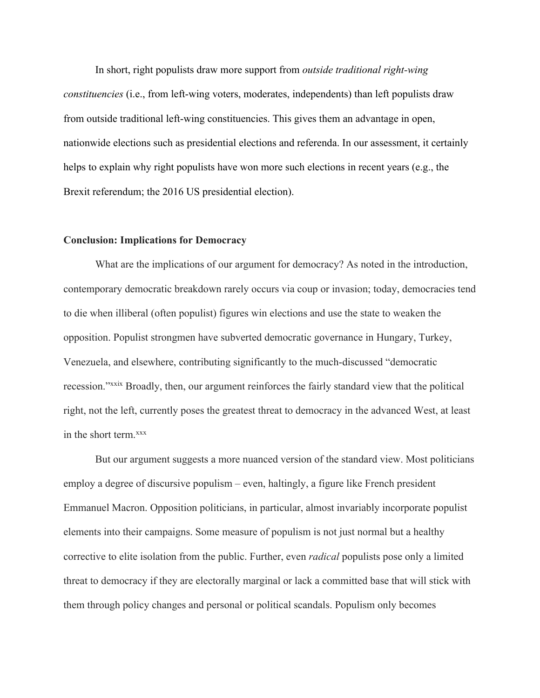In short, right populists draw more support from *outside traditional right-wing constituencies* (i.e., from left-wing voters, moderates, independents) than left populists draw from outside traditional left-wing constituencies. This gives them an advantage in open, nationwide elections such as presidential elections and referenda. In our assessment, it certainly helps to explain why right populists have won more such elections in recent years (e.g., the Brexit referendum; the 2016 US presidential election).

## **Conclusion: Implications for Democracy**

What are the implications of our argument for democracy? As noted in the introduction, contemporary democratic breakdown rarely occurs via coup or invasion; today, democracies tend to die when illiberal (often populist) figures win elections and use the state to weaken the opposition. Populist strongmen have subverted democratic governance in Hungary, Turkey, Venezuela, and elsewhere, contributing significantly to the much-discussed "democratic recession."xxix Broadly, then, our argument reinforces the fairly standard view that the political right, not the left, currently poses the greatest threat to democracy in the advanced West, at least in the short term.<sup>xxx</sup>

But our argument suggests a more nuanced version of the standard view. Most politicians employ a degree of discursive populism – even, haltingly, a figure like French president Emmanuel Macron. Opposition politicians, in particular, almost invariably incorporate populist elements into their campaigns. Some measure of populism is not just normal but a healthy corrective to elite isolation from the public. Further, even *radical* populists pose only a limited threat to democracy if they are electorally marginal or lack a committed base that will stick with them through policy changes and personal or political scandals. Populism only becomes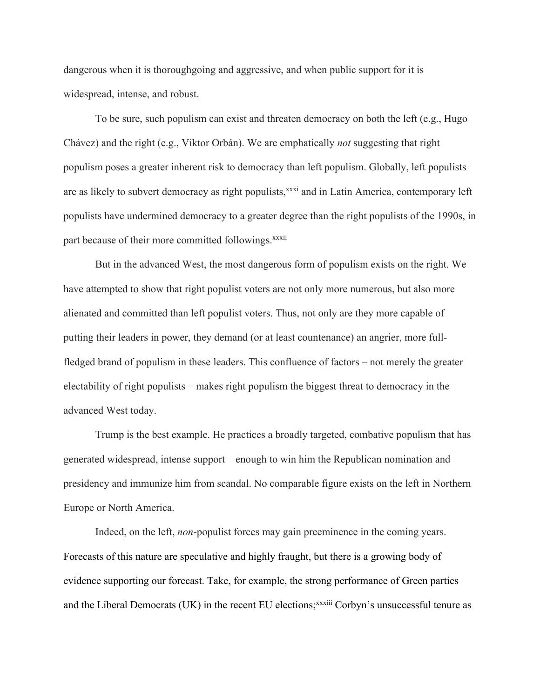dangerous when it is thoroughgoing and aggressive, and when public support for it is widespread, intense, and robust.

To be sure, such populism can exist and threaten democracy on both the left (e.g., Hugo Chávez) and the right (e.g., Viktor Orbán). We are emphatically *not* suggesting that right populism poses a greater inherent risk to democracy than left populism. Globally, left populists are as likely to subvert democracy as right populists,<sup>xxxi</sup> and in Latin America, contemporary left populists have undermined democracy to a greater degree than the right populists of the 1990s, in part because of their more committed followings.<sup>xxxii</sup>

But in the advanced West, the most dangerous form of populism exists on the right. We have attempted to show that right populist voters are not only more numerous, but also more alienated and committed than left populist voters. Thus, not only are they more capable of putting their leaders in power, they demand (or at least countenance) an angrier, more fullfledged brand of populism in these leaders. This confluence of factors – not merely the greater electability of right populists – makes right populism the biggest threat to democracy in the advanced West today.

Trump is the best example. He practices a broadly targeted, combative populism that has generated widespread, intense support – enough to win him the Republican nomination and presidency and immunize him from scandal. No comparable figure exists on the left in Northern Europe or North America.

Indeed, on the left, *non*-populist forces may gain preeminence in the coming years. Forecasts of this nature are speculative and highly fraught, but there is a growing body of evidence supporting our forecast. Take, for example, the strong performance of Green parties and the Liberal Democrats (UK) in the recent EU elections;<sup>xxxiii</sup> Corbyn's unsuccessful tenure as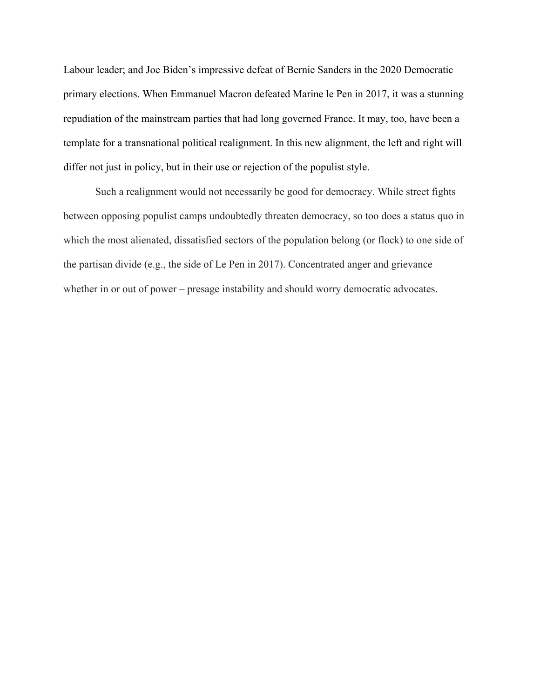Labour leader; and Joe Biden's impressive defeat of Bernie Sanders in the 2020 Democratic primary elections. When Emmanuel Macron defeated Marine le Pen in 2017, it was a stunning repudiation of the mainstream parties that had long governed France. It may, too, have been a template for a transnational political realignment. In this new alignment, the left and right will differ not just in policy, but in their use or rejection of the populist style.

Such a realignment would not necessarily be good for democracy. While street fights between opposing populist camps undoubtedly threaten democracy, so too does a status quo in which the most alienated, dissatisfied sectors of the population belong (or flock) to one side of the partisan divide (e.g., the side of Le Pen in 2017). Concentrated anger and grievance – whether in or out of power – presage instability and should worry democratic advocates.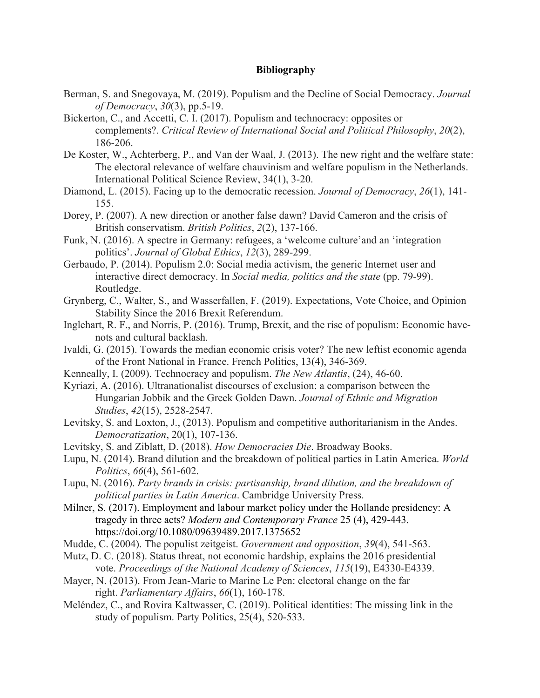# **Bibliography**

- Berman, S. and Snegovaya, M. (2019). Populism and the Decline of Social Democracy. *Journal of Democracy*, *30*(3), pp.5-19.
- Bickerton, C., and Accetti, C. I. (2017). Populism and technocracy: opposites or complements?. *Critical Review of International Social and Political Philosophy*, *20*(2), 186-206.
- De Koster, W., Achterberg, P., and Van der Waal, J. (2013). The new right and the welfare state: The electoral relevance of welfare chauvinism and welfare populism in the Netherlands. International Political Science Review, 34(1), 3-20.
- Diamond, L. (2015). Facing up to the democratic recession. *Journal of Democracy*, *26*(1), 141- 155.
- Dorey, P. (2007). A new direction or another false dawn? David Cameron and the crisis of British conservatism. *British Politics*, *2*(2), 137-166.
- Funk, N. (2016). A spectre in Germany: refugees, a 'welcome culture'and an 'integration politics'. *Journal of Global Ethics*, *12*(3), 289-299.
- Gerbaudo, P. (2014). Populism 2.0: Social media activism, the generic Internet user and interactive direct democracy. In *Social media, politics and the state* (pp. 79-99). Routledge.
- Grynberg, C., Walter, S., and Wasserfallen, F. (2019). Expectations, Vote Choice, and Opinion Stability Since the 2016 Brexit Referendum.
- Inglehart, R. F., and Norris, P. (2016). Trump, Brexit, and the rise of populism: Economic havenots and cultural backlash.
- Ivaldi, G. (2015). Towards the median economic crisis voter? The new leftist economic agenda of the Front National in France. French Politics, 13(4), 346-369.
- Kenneally, I. (2009). Technocracy and populism. *The New Atlantis*, (24), 46-60.
- Kyriazi, A. (2016). Ultranationalist discourses of exclusion: a comparison between the Hungarian Jobbik and the Greek Golden Dawn. *Journal of Ethnic and Migration Studies*, *42*(15), 2528-2547.
- Levitsky, S. and Loxton, J., (2013). Populism and competitive authoritarianism in the Andes. *Democratization*, 20(1), 107-136.
- Levitsky, S. and Ziblatt, D. (2018). *How Democracies Die*. Broadway Books.
- Lupu, N. (2014). Brand dilution and the breakdown of political parties in Latin America. *World Politics*, *66*(4), 561-602.
- Lupu, N. (2016). *Party brands in crisis: partisanship, brand dilution, and the breakdown of political parties in Latin America*. Cambridge University Press.
- Milner, S. (2017). Employment and labour market policy under the Hollande presidency: A tragedy in three acts? *Modern and Contemporary France* 25 (4), 429-443. https://doi.org/10.1080/09639489.2017.1375652
- Mudde, C. (2004). The populist zeitgeist. *Government and opposition*, *39*(4), 541-563.
- Mutz, D. C. (2018). Status threat, not economic hardship, explains the 2016 presidential vote. *Proceedings of the National Academy of Sciences*, *115*(19), E4330-E4339.
- Mayer, N. (2013). From Jean-Marie to Marine Le Pen: electoral change on the far right. *Parliamentary Affairs*, *66*(1), 160-178.
- Meléndez, C., and Rovira Kaltwasser, C. (2019). Political identities: The missing link in the study of populism. Party Politics, 25(4), 520-533.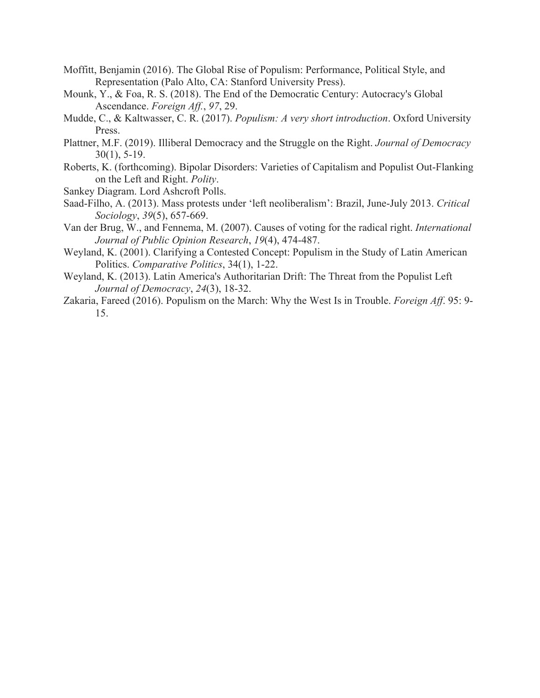- Moffitt, Benjamin (2016). The Global Rise of Populism: Performance, Political Style, and Representation (Palo Alto, CA: Stanford University Press).
- Mounk, Y., & Foa, R. S. (2018). The End of the Democratic Century: Autocracy's Global Ascendance. *Foreign Aff.*, *97*, 29.
- Mudde, C., & Kaltwasser, C. R. (2017). *Populism: A very short introduction*. Oxford University Press.
- Plattner, M.F. (2019). Illiberal Democracy and the Struggle on the Right. *Journal of Democracy* 30(1), 5-19.
- Roberts, K. (forthcoming). Bipolar Disorders: Varieties of Capitalism and Populist Out-Flanking on the Left and Right. *Polity*.

Sankey Diagram. Lord Ashcroft Polls.

- Saad-Filho, A. (2013). Mass protests under 'left neoliberalism': Brazil, June-July 2013. *Critical Sociology*, *39*(5), 657-669.
- Van der Brug, W., and Fennema, M. (2007). Causes of voting for the radical right. *International Journal of Public Opinion Research*, *19*(4), 474-487.
- Weyland, K. (2001). Clarifying a Contested Concept: Populism in the Study of Latin American Politics. *Comparative Politics*, 34(1), 1-22.
- Weyland, K. (2013). Latin America's Authoritarian Drift: The Threat from the Populist Left *Journal of Democracy*, *24*(3), 18-32.
- Zakaria, Fareed (2016). Populism on the March: Why the West Is in Trouble. *Foreign Aff*. 95: 9- 15.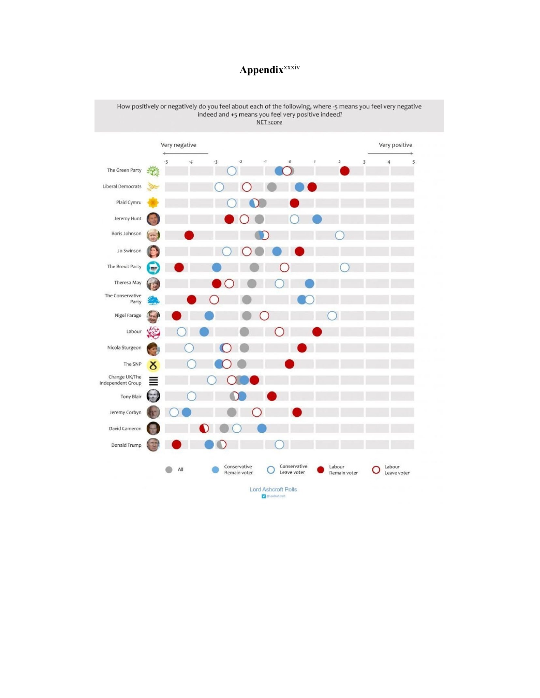# **Appendix**xxxiv